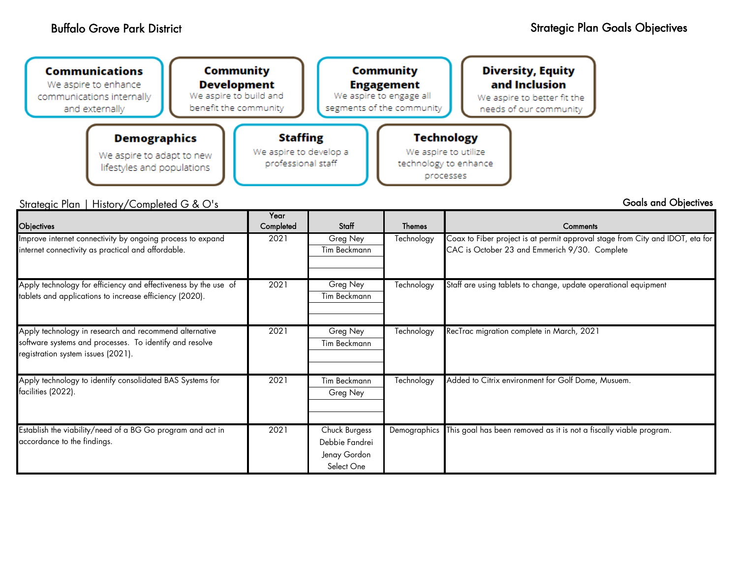

Strategic Plan | History/Completed G & O's

Goals and Objectives

| <b>Objectives</b>                                                                                                          | Year<br>Completed | Staff                          | <b>Themes</b> | <b>Comments</b>                                                                                                                |
|----------------------------------------------------------------------------------------------------------------------------|-------------------|--------------------------------|---------------|--------------------------------------------------------------------------------------------------------------------------------|
| Improve internet connectivity by ongoing process to expand<br>internet connectivity as practical and affordable.           | 2021              | Greg Ney<br>Tim Beckmann       | Technology    | Coax to Fiber project is at permit approval stage from City and IDOT, eta for<br>CAC is October 23 and Emmerich 9/30. Complete |
|                                                                                                                            |                   |                                |               |                                                                                                                                |
| Apply technology for efficiency and effectiveness by the use of<br>tablets and applications to increase efficiency (2020). | 2021              | Greg Ney<br>Tim Beckmann       | Technology    | Staff are using tablets to change, update operational equipment                                                                |
|                                                                                                                            |                   |                                |               |                                                                                                                                |
| Apply technology in research and recommend alternative<br>software systems and processes. To identify and resolve          | 2021              | Greg Ney<br>Tim Beckmann       | Technology    | RecTrac migration complete in March, 2021                                                                                      |
| registration system issues (2021).                                                                                         |                   |                                |               |                                                                                                                                |
| Apply technology to identify consolidated BAS Systems for<br>facilities (2022).                                            | 2021              | Tim Beckmann<br>Greg Ney       | Technology    | Added to Citrix environment for Golf Dome, Musuem.                                                                             |
|                                                                                                                            |                   |                                |               |                                                                                                                                |
| Establish the viability/need of a BG Go program and act in                                                                 | 2021              | Chuck Burgess                  | Demographics  | This goal has been removed as it is not a fiscally viable program.                                                             |
| accordance to the findings.                                                                                                |                   | Debbie Fandrei<br>Jenay Gordon |               |                                                                                                                                |
|                                                                                                                            |                   | Select One                     |               |                                                                                                                                |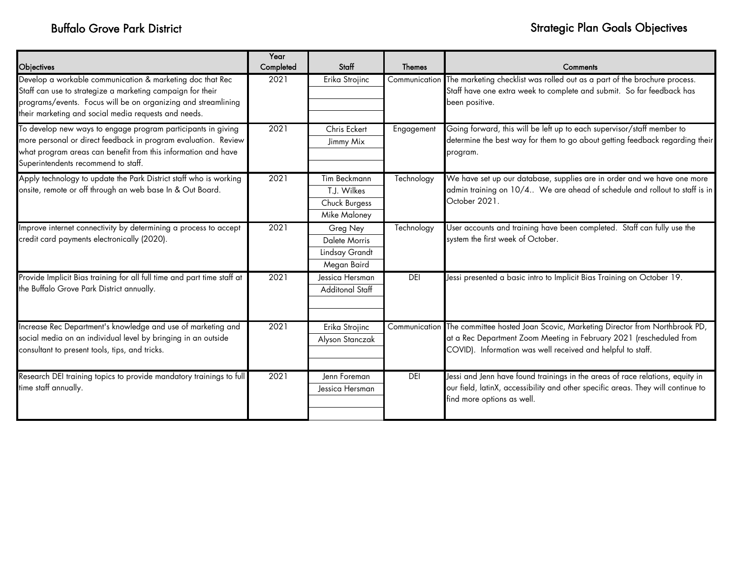| Objectives                                                                                                                                                                                                                                       | Year<br>Completed | Staff                                                        | <b>Themes</b> | Comments                                                                                                                                                                                                                     |
|--------------------------------------------------------------------------------------------------------------------------------------------------------------------------------------------------------------------------------------------------|-------------------|--------------------------------------------------------------|---------------|------------------------------------------------------------------------------------------------------------------------------------------------------------------------------------------------------------------------------|
| Develop a workable communication & marketing doc that Rec<br>Staff can use to strategize a marketing campaign for their<br>programs/events. Focus will be on organizing and streamlining<br>their marketing and social media requests and needs. | 2021              | Erika Strojinc                                               |               | Communication The marketing checklist was rolled out as a part of the brochure process.<br>Staff have one extra week to complete and submit. So far feedback has<br>been positive.                                           |
| To develop new ways to engage program participants in giving<br>more personal or direct feedback in program evaluation. Review<br>what program areas can benefit from this information and have<br>Superintendents recommend to staff.           | 2021              | Chris Eckert<br>Jimmy Mix                                    | Engagement    | Going forward, this will be left up to each supervisor/staff member to<br>determine the best way for them to go about getting feedback regarding their<br>program.                                                           |
| Apply technology to update the Park District staff who is working<br>onsite, remote or off through an web base In & Out Board.                                                                                                                   | 2021              | Tim Beckmann<br>T.J. Wilkes<br>Chuck Burgess<br>Mike Maloney | Technology    | We have set up our database, supplies are in order and we have one more<br>admin training on 10/4 We are ahead of schedule and rollout to staff is in<br>October 2021.                                                       |
| Improve internet connectivity by determining a process to accept<br>credit card payments electronically (2020).                                                                                                                                  | 2021              | Greg Ney<br>Dalete Morris<br>Lindsay Grandt<br>Megan Baird   | Technology    | User accounts and training have been completed. Staff can fully use the<br>system the first week of October.                                                                                                                 |
| Provide Implicit Bias training for all full time and part time staff at<br>the Buffalo Grove Park District annually.                                                                                                                             | 2021              | Jessica Hersman<br>Additonal Staff                           | <b>DEI</b>    | Jessi presented a basic intro to Implicit Bias Training on October 19.                                                                                                                                                       |
| Increase Rec Department's knowledge and use of marketing and<br>social media on an individual level by bringing in an outside<br>consultant to present tools, tips, and tricks.                                                                  | 2021              | Erika Strojinc<br>Alyson Stanczak                            |               | Communication The committee hosted Joan Scovic, Marketing Director from Northbrook PD,<br>at a Rec Department Zoom Meeting in February 2021 (rescheduled from<br>COVID). Information was well received and helpful to staff. |
| Research DEI training topics to provide mandatory trainings to full<br>time staff annually.                                                                                                                                                      | 2021              | Jenn Foreman<br>lessica Hersman                              | <b>DEI</b>    | Jessi and Jenn have found trainings in the areas of race relations, equity in<br>our field, latinX, accessibility and other specific areas. They will continue to<br>find more options as well.                              |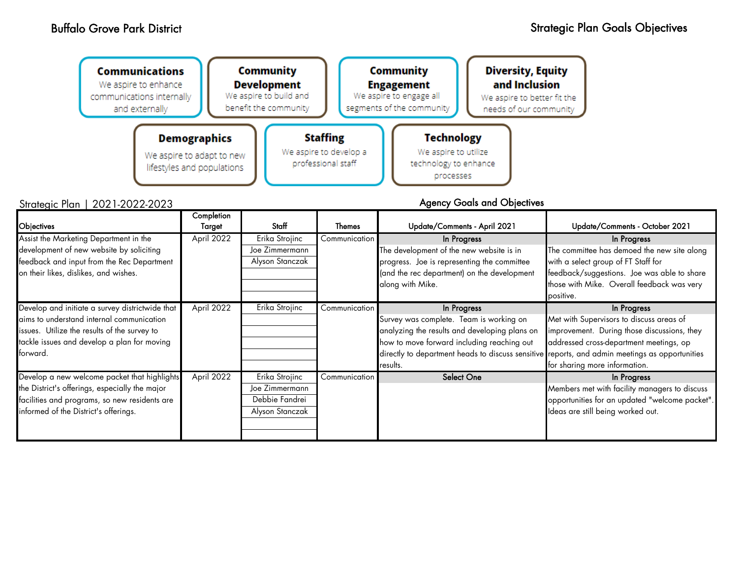| <b>Community</b><br><b>Communications</b><br>We aspire to enhance<br>communications internally<br>and externally |                                                         | <b>Development</b><br>We aspire to build and<br>benefit the community |                                              | Community<br><b>Engagement</b><br>We aspire to engage all<br>segments of the community | <b>Diversity, Equity</b><br>and Inclusion<br>We aspire to better fit the<br>needs of our community |  |
|------------------------------------------------------------------------------------------------------------------|---------------------------------------------------------|-----------------------------------------------------------------------|----------------------------------------------|----------------------------------------------------------------------------------------|----------------------------------------------------------------------------------------------------|--|
| <b>Demographics</b>                                                                                              |                                                         | <b>Staffing</b>                                                       |                                              | <b>Technology</b>                                                                      |                                                                                                    |  |
|                                                                                                                  | We aspire to adapt to new<br>lifestyles and populations |                                                                       | We aspire to develop a<br>professional staff |                                                                                        | We aspire to utilize<br>technology to enhance<br>processes                                         |  |

Strategic Plan | 2021-2022-2023

| Objectives                                                                                                                                                                                              | Completion<br>Target | <b>Staff</b>                                                          | <b>Themes</b> | Update/Comments - April 2021                                                                                                                                                                                                                                        | Update/Comments - October 2021                                                                                                                                                                              |
|---------------------------------------------------------------------------------------------------------------------------------------------------------------------------------------------------------|----------------------|-----------------------------------------------------------------------|---------------|---------------------------------------------------------------------------------------------------------------------------------------------------------------------------------------------------------------------------------------------------------------------|-------------------------------------------------------------------------------------------------------------------------------------------------------------------------------------------------------------|
| Assist the Marketing Department in the<br>development of new website by soliciting<br>feedback and input from the Rec Department<br>on their likes, dislikes, and wishes.                               | April 2022           | Erika Strojinc<br>Joe Zimmermann<br>Alyson Stanczak                   | Communication | In Progress<br>The development of the new website is in<br>progress. Joe is representing the committee<br>(and the rec department) on the development<br>along with Mike.                                                                                           | In Progress<br>The committee has demoed the new site along<br>with a select group of FT Staff for<br>feedback/suggestions. Joe was able to share<br>those with Mike. Overall feedback was very<br>positive. |
| Develop and initiate a survey districtwide that<br>aims to understand internal communication<br>issues. Utilize the results of the survey to<br>tackle issues and develop a plan for moving<br>forward. | April 2022           | Erika Strojinc                                                        | Communication | In Progress<br>Survey was complete. Team is working on<br>analyzing the results and developing plans on<br>how to move forward including reaching out<br>directly to department heads to discuss sensitive reports, and admin meetings as opportunities<br>results. | In Progress<br>Met with Supervisors to discuss areas of<br>improvement. During those discussions, they<br>addressed cross-department meetings, op<br>for sharing more information.                          |
| Develop a new welcome packet that highlights<br>the District's offerings, especially the major<br>facilities and programs, so new residents are<br>informed of the District's offerings.                | April 2022           | Erika Strojinc<br>Joe Zimmermann<br>Debbie Fandrei<br>Alyson Stanczak | Communication | <b>Select One</b>                                                                                                                                                                                                                                                   | In Progress<br>Members met with facility managers to discuss<br>opportunities for an updated "welcome packet".<br>Ideas are still being worked out.                                                         |

Agency Goals and Objectives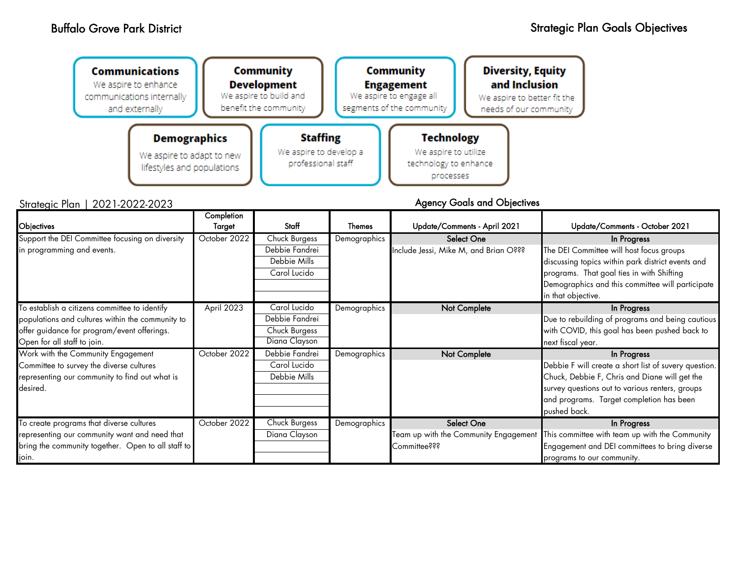| <b>Communications</b><br>We aspire to enhance<br>communications internally<br>and externally |  | <b>Community</b><br><b>Development</b><br>We aspire to build and<br>benefit the community | <b>Community</b><br><b>Engagement</b><br>We aspire to engage all<br>segments of the community | <b>Diversity, Equity</b><br>and Inclusion<br>We aspire to better fit the<br>needs of our community |
|----------------------------------------------------------------------------------------------|--|-------------------------------------------------------------------------------------------|-----------------------------------------------------------------------------------------------|----------------------------------------------------------------------------------------------------|
| <b>Demographics</b><br>We aspire to adapt to new<br>lifestyles and populations               |  | <b>Staffing</b><br>We aspire to develop a<br>professional staff                           | <b>Technology</b><br>We aspire to utilize<br>technology to enhance<br>processes               |                                                                                                    |
| an   2021-2022-2023                                                                          |  |                                                                                           |                                                                                               | <b>Agency Goals and Objectives</b>                                                                 |

## Strategic Plan | 2021-2022-2023

| Objectives                                         | Completion<br>Target | Staff          | <b>Themes</b> | Update/Comments - April 2021          | Update/Comments - October 2021                        |
|----------------------------------------------------|----------------------|----------------|---------------|---------------------------------------|-------------------------------------------------------|
| Support the DEI Committee focusing on diversity    | October 2022         | Chuck Burgess  | Demographics  | <b>Select One</b>                     | In Progress                                           |
| in programming and events.                         |                      | Debbie Fandrei |               | Include Jessi, Mike M, and Brian O??? | The DEI Committee will host focus groups              |
|                                                    |                      | Debbie Mills   |               |                                       | discussing topics within park district events and     |
|                                                    |                      | Carol Lucido   |               |                                       | programs. That goal ties in with Shifting             |
|                                                    |                      |                |               |                                       | Demographics and this committee will participate      |
|                                                    |                      |                |               |                                       | in that objective.                                    |
| To establish a citizens committee to identify      | April 2023           | Carol Lucido   | Demographics  | Not Complete                          | In Progress                                           |
| populations and cultures within the community to   |                      | Debbie Fandrei |               |                                       | Due to rebuilding of programs and being cautious      |
| offer guidance for program/event offerings.        |                      | Chuck Burgess  |               |                                       | with COVID, this goal has been pushed back to         |
| Open for all staff to join.                        |                      | Diana Clayson  |               |                                       | next fiscal year.                                     |
| Work with the Community Engagement                 | October 2022         | Debbie Fandrei | Demographics  | Not Complete                          | In Progress                                           |
| Committee to survey the diverse cultures           |                      | Carol Lucido   |               |                                       | Debbie F will create a short list of suvery question. |
| representing our community to find out what is     |                      | Debbie Mills   |               |                                       | Chuck, Debbie F, Chris and Diane will get the         |
| desired.                                           |                      |                |               |                                       | survey questions out to various renters, groups       |
|                                                    |                      |                |               |                                       | and programs. Target completion has been              |
|                                                    |                      |                |               |                                       | pushed back.                                          |
| To create programs that diverse cultures           | October 2022         | Chuck Burgess  | Demographics  | <b>Select One</b>                     | In Progress                                           |
| representing our community want and need that      |                      | Diana Clayson  |               | Team up with the Community Engagement | This committee with team up with the Community        |
| bring the community together. Open to all staff to |                      |                |               | Committee???                          | Engagement and DEI committees to bring diverse        |
| join.                                              |                      |                |               |                                       | programs to our community.                            |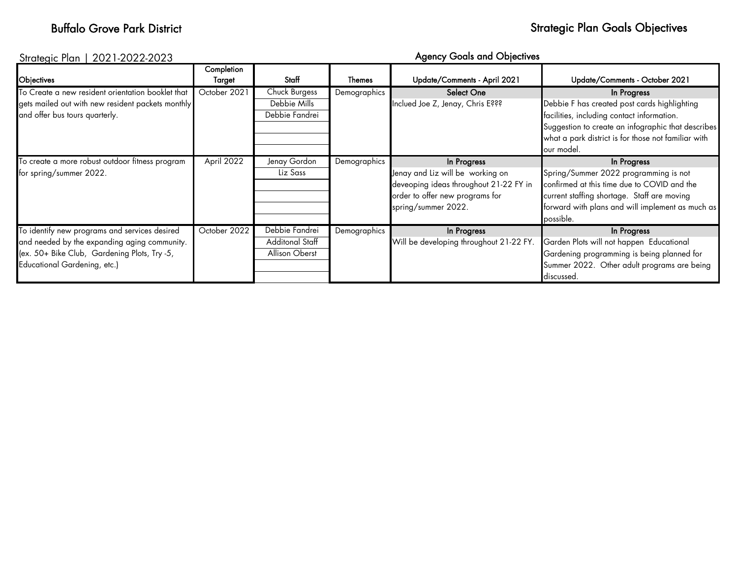# Buffalo Grove Park District Channels Communication of the Strategic Plan Goals Objectives

## Strategic Plan | 2021-2022-2023

# Agency Goals and Objectives

|                                                   | Completion   |                 |               |                                         |                                                     |
|---------------------------------------------------|--------------|-----------------|---------------|-----------------------------------------|-----------------------------------------------------|
| Objectives                                        | Target       | Staff           | <b>Themes</b> | Update/Comments - April 2021            | Update/Comments - October 2021                      |
| To Create a new resident orientation booklet that | October 2021 | Chuck Burgess   | Demographics  | <b>Select One</b>                       | In Progress                                         |
| gets mailed out with new resident packets monthly |              | Debbie Mills    |               | Inclued Joe Z, Jenay, Chris E???        | Debbie F has created post cards highlighting        |
| and offer bus tours quarterly.                    |              | Debbie Fandrei  |               |                                         | facilities, including contact information.          |
|                                                   |              |                 |               |                                         | Suggestion to create an infographic that describes  |
|                                                   |              |                 |               |                                         | what a park district is for those not familiar with |
|                                                   |              |                 |               |                                         | our model.                                          |
| To create a more robust outdoor fitness program   | April 2022   | Jenay Gordon    | Demographics  | In Progress                             | In Progress                                         |
| for spring/summer 2022.                           |              | Liz Sass        |               | Jenay and Liz will be working on        | Spring/Summer 2022 programming is not               |
|                                                   |              |                 |               | deveoping ideas throughout 21-22 FY in  | confirmed at this time due to COVID and the         |
|                                                   |              |                 |               | order to offer new programs for         | current staffing shortage. Staff are moving         |
|                                                   |              |                 |               | spring/summer 2022.                     | forward with plans and will implement as much as    |
|                                                   |              |                 |               |                                         | possible.                                           |
| To identify new programs and services desired     | October 2022 | Debbie Fandrei  | Demographics  | In Progress                             | In Progress                                         |
| and needed by the expanding aging community.      |              | Additonal Staff |               | Will be developing throughout 21-22 FY. | Garden Plots will not happen Educational            |
| (ex. 50+ Bike Club, Gardening Plots, Try -5,      |              | Allison Oberst  |               |                                         | Gardening programming is being planned for          |
| Educational Gardening, etc.)                      |              |                 |               |                                         | Summer 2022. Other adult programs are being         |
|                                                   |              |                 |               |                                         | discussed.                                          |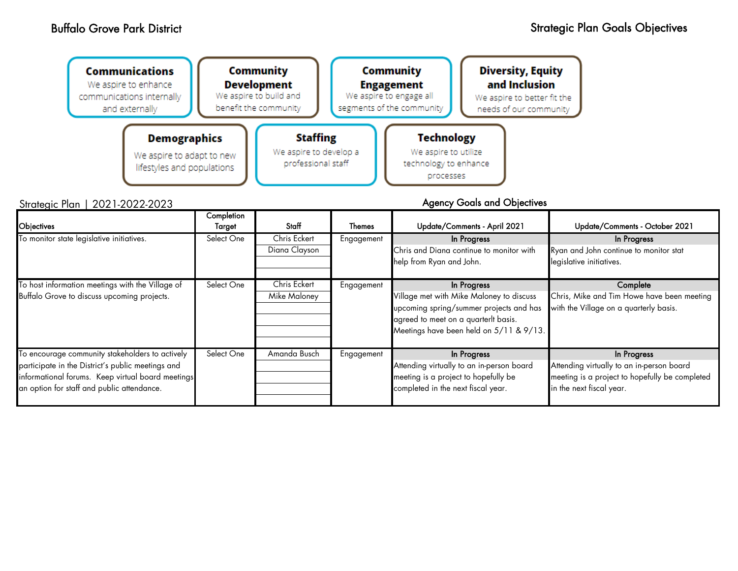Strategic

| <b>Technology</b><br><b>Staffing</b><br><b>Demographics</b><br>We aspire to develop a<br>We aspire to utilize<br>We aspire to adapt to new<br>professional staff<br>technology to enhance<br>lifestyles and populations<br>processes | <b>Communications</b><br>We aspire to enhance<br>communications internally<br>and externally | Community<br><b>Development</b><br>We aspire to build and<br>benefit the community |  | <b>Community</b><br><b>Engagement</b><br>We aspire to engage all<br>segments of the community | <b>Diversity, Equity</b><br>and Inclusion<br>We aspire to better fit the<br>needs of our community |
|--------------------------------------------------------------------------------------------------------------------------------------------------------------------------------------------------------------------------------------|----------------------------------------------------------------------------------------------|------------------------------------------------------------------------------------|--|-----------------------------------------------------------------------------------------------|----------------------------------------------------------------------------------------------------|
|                                                                                                                                                                                                                                      |                                                                                              |                                                                                    |  |                                                                                               |                                                                                                    |

| <b>Objectives</b>                                                                                                                                                                                       | Completion<br>Target | Staff                         | Themes     | Update/Comments - April 2021                                                                                                                                                          | Update/Comments - October 2021                                                                                                         |
|---------------------------------------------------------------------------------------------------------------------------------------------------------------------------------------------------------|----------------------|-------------------------------|------------|---------------------------------------------------------------------------------------------------------------------------------------------------------------------------------------|----------------------------------------------------------------------------------------------------------------------------------------|
| To monitor state legislative initiatives.                                                                                                                                                               | Select One           | Chris Eckert<br>Diana Clayson | Engagement | In Progress<br>Chris and Diana continue to monitor with<br>help from Ryan and John.                                                                                                   | In Progress<br>Ryan and John continue to monitor stat<br>legislative initiatives.                                                      |
| To host information meetings with the Village of<br>Buffalo Grove to discuss upcoming projects.                                                                                                         | Select One           | Chris Eckert<br>Mike Maloney  | Engagement | In Progress<br>Village met with Mike Maloney to discuss<br>upcoming spring/summer projects and has<br>agreed to meet on a quarterlt basis.<br>Meetings have been held on 5/11 & 9/13. | Complete<br>Chris, Mike and Tim Howe have been meeting<br>with the Village on a quarterly basis.                                       |
| To encourage community stakeholders to actively<br>participate in the District's public meetings and<br>informational forums. Keep virtual board meetings<br>an option for staff and public attendance. | Select One           | Amanda Busch                  | Engagement | In Progress<br>Attending virtually to an in-person board<br>meeting is a project to hopefully be<br>completed in the next fiscal year.                                                | In Progress<br>Attending virtually to an in-person board<br>meeting is a project to hopefully be completed<br>in the next fiscal year. |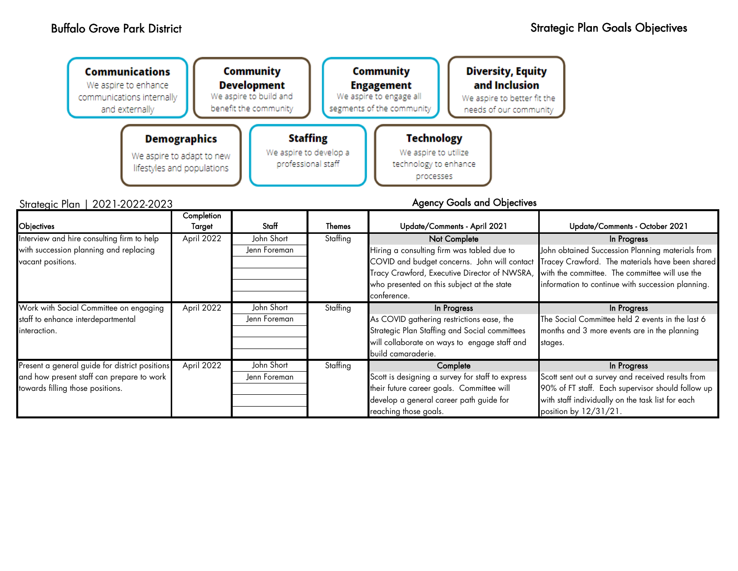| <b>Communications</b><br>We aspire to enhance<br>communications internally<br>and externally | <b>Community</b><br><b>Development</b><br>We aspire to build and<br>benefit the community |                                                                 | <b>Community</b><br><b>Engagement</b><br>We aspire to engage all<br>segments of the community | <b>Diversity, Equity</b><br>and Inclusion<br>We aspire to better fit the<br>needs of our community |  |
|----------------------------------------------------------------------------------------------|-------------------------------------------------------------------------------------------|-----------------------------------------------------------------|-----------------------------------------------------------------------------------------------|----------------------------------------------------------------------------------------------------|--|
| <b>Demographics</b><br>We aspire to adapt to new<br>lifestyles and populations               |                                                                                           | <b>Staffing</b><br>We aspire to develop a<br>professional staff | <b>Technology</b><br>We aspire to utilize<br>technology to enhance<br>processes               |                                                                                                    |  |
| Strategic Plan   2021-2022-2023                                                              |                                                                                           |                                                                 |                                                                                               | <b>Agency Goals and Objectives</b>                                                                 |  |

| Objectives                                     | Completion<br>Target | Staff        | Themes   | Update/Comments - April 2021                     | Update/Comments - October 2021                    |
|------------------------------------------------|----------------------|--------------|----------|--------------------------------------------------|---------------------------------------------------|
| Interview and hire consulting firm to help     | April 2022           | John Short   | Staffing | Not Complete                                     | In Progress                                       |
| with succession planning and replacing         |                      | Jenn Foreman |          | Hiring a consulting firm was tabled due to       | John obtained Succession Planning materials from  |
| vacant positions.                              |                      |              |          | COVID and budget concerns. John will contact     | Tracey Crawford. The materials have been shared   |
|                                                |                      |              |          | Tracy Crawford, Executive Director of NWSRA,     | with the committee. The committee will use the    |
|                                                |                      |              |          | who presented on this subject at the state       | information to continue with succession planning. |
|                                                |                      |              |          | conference.                                      |                                                   |
| Work with Social Committee on engaging         | April 2022           | John Short   | Staffing | In Progress                                      | In Progress                                       |
| staff to enhance interdepartmental             |                      | Jenn Foreman |          | As COVID gathering restrictions ease, the        | The Social Committee held 2 events in the last 6  |
| interaction.                                   |                      |              |          | Strategic Plan Staffing and Social committees    | months and 3 more events are in the planning      |
|                                                |                      |              |          | will collaborate on ways to engage staff and     | stages.                                           |
|                                                |                      |              |          | build camaraderie.                               |                                                   |
| Present a general guide for district positions | April 2022           | John Short   | Staffing | Complete                                         | In Progress                                       |
| and how present staff can prepare to work      |                      | Jenn Foreman |          | Scott is designing a survey for staff to express | Scott sent out a survey and received results from |
| towards filling those positions.               |                      |              |          | their future career goals. Committee will        | 90% of FT staff. Each supervisor should follow up |
|                                                |                      |              |          | develop a general career path guide for          | with staff individually on the task list for each |
|                                                |                      |              |          | reaching those goals.                            | position by 12/31/21.                             |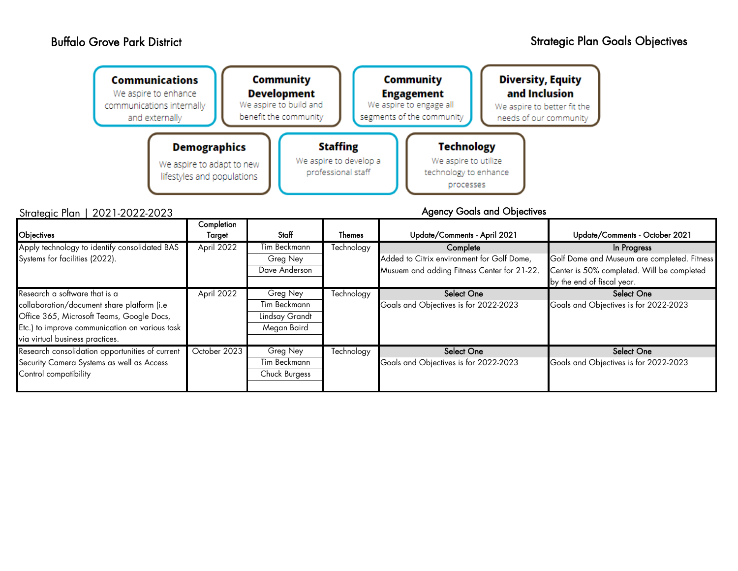Control compatibility

| <b>Communications</b><br>We aspire to enhance<br>communications internally<br>and externally |                                                                                | Community<br><b>Development</b><br>We aspire to build and<br>benefit the community |                                                                 | Community<br><b>Engagement</b><br>We aspire to engage all<br>segments of the community | <b>Diversity, Equity</b><br>and Inclusion<br>We aspire to better fit the<br>needs of our community |                                                                          |
|----------------------------------------------------------------------------------------------|--------------------------------------------------------------------------------|------------------------------------------------------------------------------------|-----------------------------------------------------------------|----------------------------------------------------------------------------------------|----------------------------------------------------------------------------------------------------|--------------------------------------------------------------------------|
| Strategic Plan   2021-2022-2023                                                              | <b>Demographics</b><br>We aspire to adapt to new<br>lifestyles and populations |                                                                                    | <b>Staffing</b><br>We aspire to develop a<br>professional staff | <b>Technology</b><br>We aspire to utilize<br>technology to enhance<br>processes        | <b>Agency Goals and Objectives</b>                                                                 |                                                                          |
|                                                                                              | Completion                                                                     |                                                                                    |                                                                 |                                                                                        |                                                                                                    |                                                                          |
| Objectives                                                                                   | Target                                                                         | Staff                                                                              | <b>Themes</b>                                                   | Update/Comments - April 2021                                                           |                                                                                                    | Update/Comments - October 2021                                           |
| Apply technology to identify consolidated BAS                                                | April 2022                                                                     | Tim Beckmann                                                                       | Technology                                                      | Complete                                                                               |                                                                                                    | In Progress                                                              |
| Systems for facilities (2022).                                                               |                                                                                | Greg Ney                                                                           |                                                                 | Added to Citrix environment for Golf Dome,                                             |                                                                                                    | Golf Dome and Museum are completed. Fitness                              |
|                                                                                              |                                                                                | Dave Anderson                                                                      |                                                                 | Musuem and adding Fitness Center for 21-22.                                            |                                                                                                    | Center is 50% completed. Will be completed<br>by the end of fiscal year. |
| Research a software that is a                                                                | April 2022                                                                     | Greg Ney                                                                           | Technology                                                      | <b>Select One</b>                                                                      |                                                                                                    | Select One                                                               |
| collaboration/document share platform (i.e                                                   |                                                                                | Tim Beckmann                                                                       |                                                                 | Goals and Objectives is for 2022-2023                                                  |                                                                                                    | Goals and Objectives is for 2022-2023                                    |
| Office 365, Microsoft Teams, Google Docs,                                                    |                                                                                | Lindsay Grandt                                                                     |                                                                 |                                                                                        |                                                                                                    |                                                                          |
| Etc.) to improve communication on various task                                               |                                                                                | Megan Baird                                                                        |                                                                 |                                                                                        |                                                                                                    |                                                                          |
| via virtual business practices.                                                              |                                                                                |                                                                                    |                                                                 |                                                                                        |                                                                                                    |                                                                          |
| Research consolidation opportunities of current                                              | October 2023                                                                   | Greg Ney                                                                           | Technology                                                      | <b>Select One</b>                                                                      |                                                                                                    | <b>Select One</b>                                                        |
| Security Camera Systems as well as Access                                                    |                                                                                | Tim Beckmann                                                                       |                                                                 | Goals and Objectives is for 2022-2023                                                  |                                                                                                    | Goals and Objectives is for 2022-2023                                    |

Chuck Burgess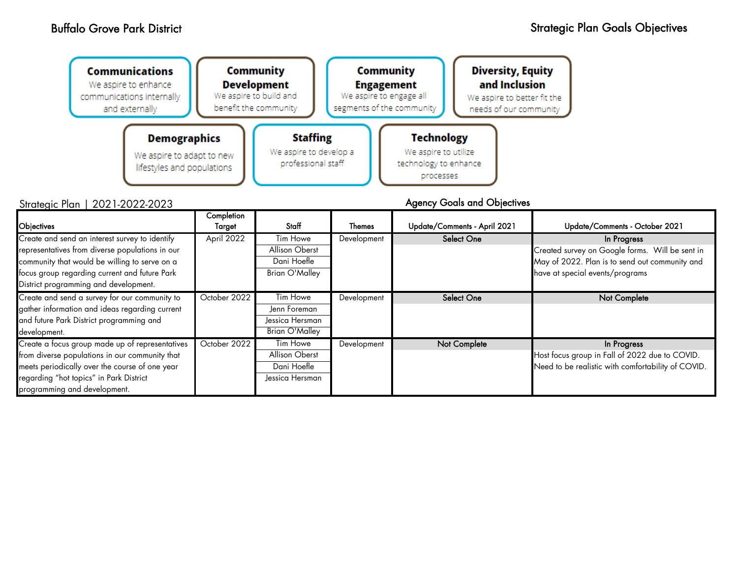| <b>Communications</b><br>We aspire to enhance<br>communications internally<br>and externally | <b>Community</b><br><b>Development</b><br>We aspire to build and<br>benefit the community |                                           | Community<br><b>Engagement</b><br>We aspire to engage all<br>segments of the community | <b>Diversity, Equity</b><br>and Inclusion<br>We aspire to better fit the<br>needs of our community |  |
|----------------------------------------------------------------------------------------------|-------------------------------------------------------------------------------------------|-------------------------------------------|----------------------------------------------------------------------------------------|----------------------------------------------------------------------------------------------------|--|
| <b>Demographics</b>                                                                          |                                                                                           | <b>Staffing</b><br>We aspire to develop a | <b>Technology</b><br>We aspire to utilize                                              |                                                                                                    |  |
| We aspire to adapt to new<br>lifestyles and populations                                      |                                                                                           | professional staff                        | technology to enhance<br>processes                                                     |                                                                                                    |  |

# Strategic Plan | 2021-2022-2023

| Objectives                                                                                                                                                                                                                                   | Completion<br>Target | Staff                                                                | Themes      | Update/Comments - April 2021 | Update/Comments - October 2021                                                                                                                      |
|----------------------------------------------------------------------------------------------------------------------------------------------------------------------------------------------------------------------------------------------|----------------------|----------------------------------------------------------------------|-------------|------------------------------|-----------------------------------------------------------------------------------------------------------------------------------------------------|
| Create and send an interest survey to identify<br>representatives from diverse populations in our<br>community that would be willing to serve on a<br>focus group regarding current and future Park<br>District programming and development. | April 2022           | Tim Howe<br>Allison Oberst<br>Dani Hoefle<br>Brian O'Malley          | Development | <b>Select One</b>            | In Progress<br>Created survey on Google forms. Will be sent in<br>May of 2022. Plan is to send out community and<br>have at special events/programs |
| Create and send a survey for our community to<br>gather information and ideas regarding current<br>and future Park District programming and<br>development.                                                                                  | October 2022         | Tim Howe<br>Jenn Foreman<br>Jessica Hersman<br><b>Brian O'Malley</b> | Development | <b>Select One</b>            | <b>Not Complete</b>                                                                                                                                 |
| Create a focus group made up of representatives<br>from diverse populations in our community that<br>meets periodically over the course of one year<br>regarding "hot topics" in Park District<br>programming and development.               | October 2022         | Tim Howe<br>Allison Oberst<br>Dani Hoefle<br>Jessica Hersman         | Development | Not Complete                 | In Progress<br>Host focus group in Fall of 2022 due to COVID.<br>Need to be realistic with comfortability of COVID.                                 |

Agency Goals and Objectives